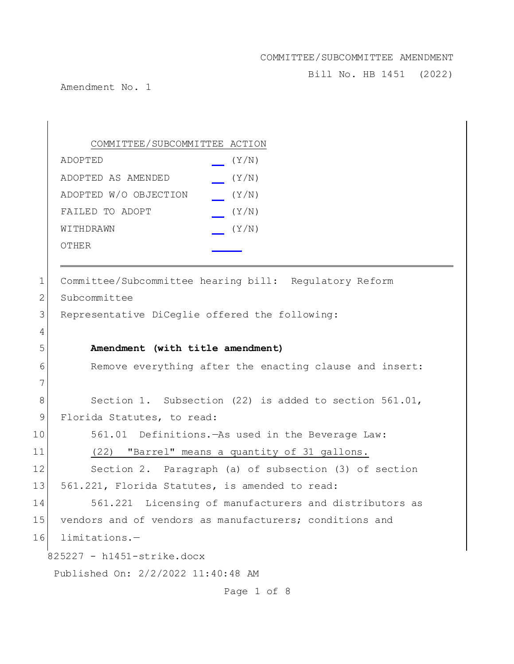Bill No. HB 1451 (2022)

Amendment No. 1

825227 - h1451-strike.docx Published On: 2/2/2022 11:40:48 AM Page 1 of 8 COMMITTEE/SUBCOMMITTEE ACTION ADOPTED (Y/N) ADOPTED AS AMENDED (Y/N) ADOPTED W/O OBJECTION (Y/N) FAILED TO ADOPT  $(Y/N)$  $W1$ THDRAWN  $(Y/N)$ OTHER 1 Committee/Subcommittee hearing bill: Regulatory Reform 2 Subcommittee 3 Representative DiCeglie offered the following: 4 5 **Amendment (with title amendment)** 6 Remove everything after the enacting clause and insert: 7 8 Section 1. Subsection (22) is added to section 561.01, 9 Florida Statutes, to read: 10 561.01 Definitions.—As used in the Beverage Law: 11 (22) "Barrel" means a quantity of 31 gallons. 12 Section 2. Paragraph (a) of subsection (3) of section 13 561.221, Florida Statutes, is amended to read: 14 561.221 Licensing of manufacturers and distributors as 15 vendors and of vendors as manufacturers; conditions and 16 limitations.—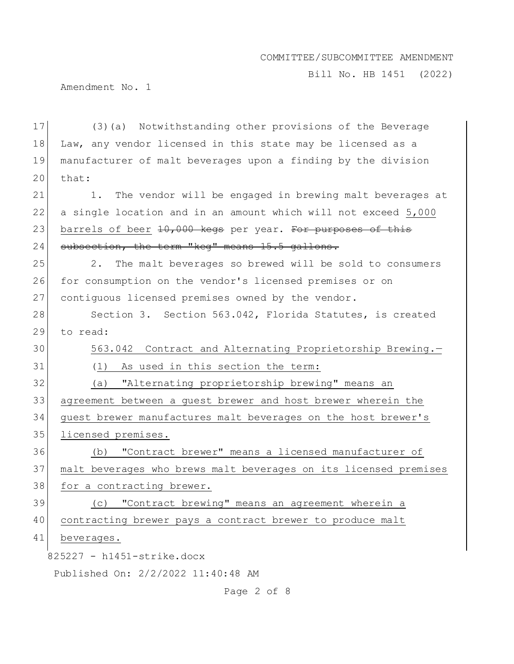Bill No. HB 1451 (2022)

Amendment No. 1

| 17 | (3) (a) Notwithstanding other provisions of the Beverage         |
|----|------------------------------------------------------------------|
| 18 | Law, any vendor licensed in this state may be licensed as a      |
| 19 | manufacturer of malt beverages upon a finding by the division    |
| 20 | that:                                                            |
| 21 | The vendor will be engaged in brewing malt beverages at<br>1.    |
| 22 | a single location and in an amount which will not exceed 5,000   |
| 23 | barrels of beer 10,000 kegs per year. For purposes of this       |
| 24 | subsection, the term "keq" means 15.5 gallons.                   |
| 25 | The malt beverages so brewed will be sold to consumers<br>2.     |
| 26 | for consumption on the vendor's licensed premises or on          |
| 27 | contiquous licensed premises owned by the vendor.                |
| 28 | Section 3. Section 563.042, Florida Statutes, is created         |
| 29 | to read:                                                         |
| 30 | 563.042 Contract and Alternating Proprietorship Brewing.-        |
| 31 | (1) As used in this section the term:                            |
| 32 | "Alternating proprietorship brewing" means an<br>(a)             |
| 33 | agreement between a guest brewer and host brewer wherein the     |
| 34 | guest brewer manufactures malt beverages on the host brewer's    |
| 35 | licensed premises.                                               |
| 36 | "Contract brewer" means a licensed manufacturer of<br>(b)        |
| 37 | malt beverages who brews malt beverages on its licensed premises |
| 38 | for a contracting brewer.                                        |
| 39 | "Contract brewing" means an agreement wherein a<br>(C)           |
| 40 | contracting brewer pays a contract brewer to produce malt        |
| 41 | beverages.                                                       |
|    | 825227 - h1451-strike.docx                                       |
|    | Published On: 2/2/2022 11:40:48 AM                               |

# Page 2 of 8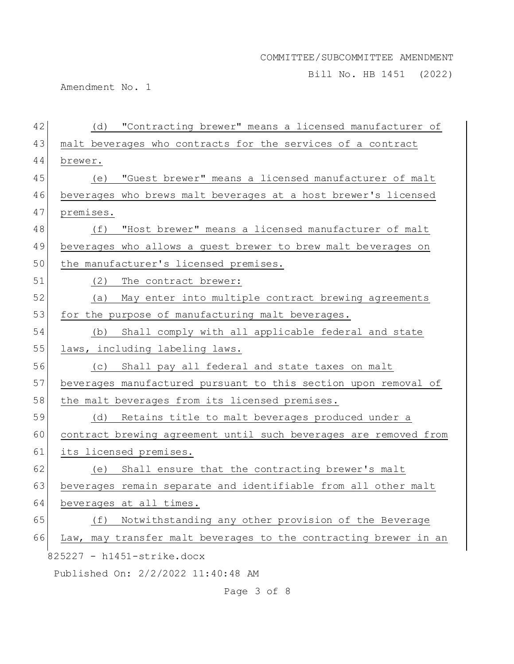Bill No. HB 1451 (2022)

Amendment No. 1

| 42 | (d) "Contracting brewer" means a licensed manufacturer of        |
|----|------------------------------------------------------------------|
| 43 | malt beverages who contracts for the services of a contract      |
| 44 | brewer.                                                          |
| 45 | "Guest brewer" means a licensed manufacturer of malt<br>(e)      |
| 46 | beverages who brews malt beverages at a host brewer's licensed   |
| 47 | premises.                                                        |
| 48 | (f) "Host brewer" means a licensed manufacturer of malt          |
| 49 | beverages who allows a guest brewer to brew malt beverages on    |
| 50 | the manufacturer's licensed premises.                            |
| 51 | (2)<br>The contract brewer:                                      |
| 52 | May enter into multiple contract brewing agreements<br>(a)       |
| 53 | for the purpose of manufacturing malt beverages.                 |
| 54 | (b) Shall comply with all applicable federal and state           |
| 55 | laws, including labeling laws.                                   |
| 56 | Shall pay all federal and state taxes on malt<br>(C)             |
| 57 | beverages manufactured pursuant to this section upon removal of  |
| 58 | the malt beverages from its licensed premises.                   |
| 59 | (d) Retains title to malt beverages produced under a             |
| 60 | contract brewing agreement until such beverages are removed from |
| 61 | its licensed premises.                                           |
| 62 | Shall ensure that the contracting brewer's malt<br>(e)           |
| 63 | beverages remain separate and identifiable from all other malt   |
| 64 | beverages at all times.                                          |
| 65 | Notwithstanding any other provision of the Beverage<br>(f)       |
| 66 | Law, may transfer malt beverages to the contracting brewer in an |
|    | 825227 - h1451-strike.docx                                       |
|    | Published On: 2/2/2022 11:40:48 AM                               |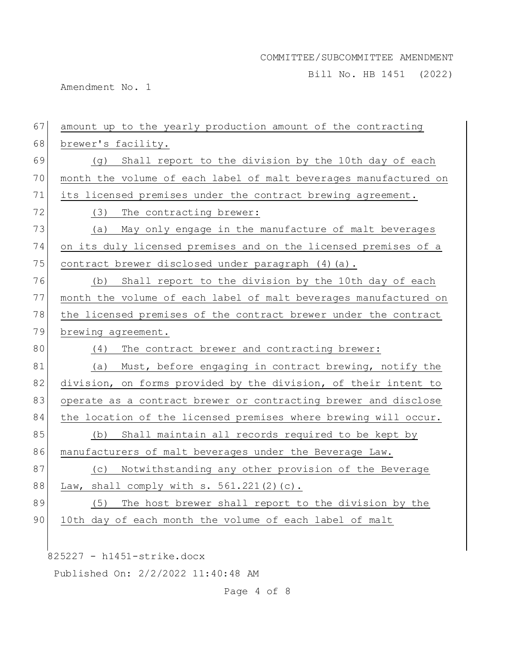Bill No. HB 1451 (2022)

Amendment No. 1

| 67<br>amount up to the yearly production amount of the contracting |
|--------------------------------------------------------------------|
| brewer's facility.                                                 |
| (g) Shall report to the division by the 10th day of each           |
| month the volume of each label of malt beverages manufactured on   |
| its licensed premises under the contract brewing agreement.        |
| (3) The contracting brewer:                                        |
| May only engage in the manufacture of malt beverages<br>(a)        |
| on its duly licensed premises and on the licensed premises of a    |
| contract brewer disclosed under paragraph (4) (a).                 |
| (b) Shall report to the division by the 10th day of each           |
| month the volume of each label of malt beverages manufactured on   |
| the licensed premises of the contract brewer under the contract    |
| brewing agreement.                                                 |
| The contract brewer and contracting brewer:<br>(4)                 |
| (a) Must, before engaging in contract brewing, notify the          |
| division, on forms provided by the division, of their intent to    |
| operate as a contract brewer or contracting brewer and disclose    |
| the location of the licensed premises where brewing will occur.    |
| Shall maintain all records required to be kept by<br>(b)           |
| manufacturers of malt beverages under the Beverage Law.            |
| Notwithstanding any other provision of the Beverage<br>(C)         |
| Law, shall comply with $s. 561.221(2)(c)$ .                        |
| The host brewer shall report to the division by the<br>(5)         |
| 10th day of each month the volume of each label of malt            |
|                                                                    |
| 68<br>77<br>79<br>83                                               |

825227 - h1451-strike.docx

Published On: 2/2/2022 11:40:48 AM

Page 4 of 8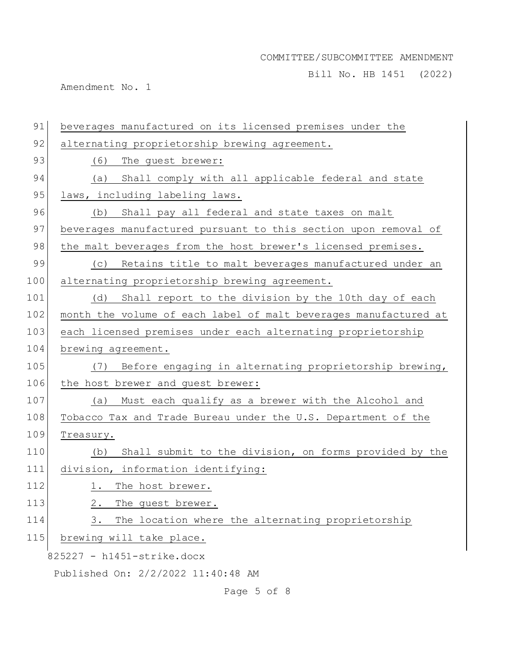Bill No. HB 1451 (2022)

Amendment No. 1

| 91  | beverages manufactured on its licensed premises under the        |
|-----|------------------------------------------------------------------|
| 92  | alternating proprietorship brewing agreement.                    |
| 93  | (6)<br>The guest brewer:                                         |
| 94  | (a) Shall comply with all applicable federal and state           |
| 95  | laws, including labeling laws.                                   |
| 96  | Shall pay all federal and state taxes on malt<br>(b)             |
| 97  | beverages manufactured pursuant to this section upon removal of  |
| 98  | the malt beverages from the host brewer's licensed premises.     |
| 99  | Retains title to malt beverages manufactured under an<br>(C)     |
| 100 | alternating proprietorship brewing agreement.                    |
| 101 | Shall report to the division by the 10th day of each<br>(d)      |
| 102 | month the volume of each label of malt beverages manufactured at |
| 103 | each licensed premises under each alternating proprietorship     |
| 104 | brewing agreement.                                               |
| 105 | Before engaging in alternating proprietorship brewing,<br>(7)    |
| 106 | the host brewer and guest brewer:                                |
| 107 | Must each qualify as a brewer with the Alcohol and<br>(a)        |
| 108 | Tobacco Tax and Trade Bureau under the U.S. Department of the    |
| 109 | Treasury.                                                        |
| 110 | Shall submit to the division, on forms provided by the<br>(b)    |
| 111 | division, information identifying:                               |
| 112 | The host brewer.<br>1.                                           |
| 113 | The guest brewer.<br>2.                                          |
| 114 | The location where the alternating proprietorship<br>3.          |
| 115 | brewing will take place.                                         |
|     | 825227 - h1451-strike.docx                                       |
|     | Published On: 2/2/2022 11:40:48 AM                               |

Page 5 of 8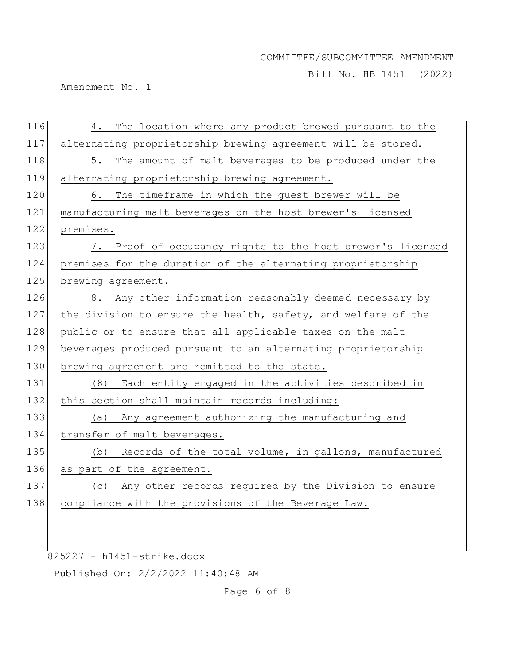Bill No. HB 1451 (2022)

Amendment No. 1

| 116 | The location where any product brewed pursuant to the<br>4.   |
|-----|---------------------------------------------------------------|
| 117 | alternating proprietorship brewing agreement will be stored.  |
| 118 | 5. The amount of malt beverages to be produced under the      |
| 119 | alternating proprietorship brewing agreement.                 |
| 120 | The timeframe in which the guest brewer will be<br>6.         |
| 121 | manufacturing malt beverages on the host brewer's licensed    |
| 122 | premises.                                                     |
| 123 | 7. Proof of occupancy rights to the host brewer's licensed    |
| 124 | premises for the duration of the alternating proprietorship   |
| 125 | brewing agreement.                                            |
| 126 | 8. Any other information reasonably deemed necessary by       |
| 127 | the division to ensure the health, safety, and welfare of the |
| 128 | public or to ensure that all applicable taxes on the malt     |
| 129 | beverages produced pursuant to an alternating proprietorship  |
| 130 | brewing agreement are remitted to the state.                  |
| 131 | Each entity engaged in the activities described in<br>(8)     |
| 132 | this section shall maintain records including:                |
| 133 | Any agreement authorizing the manufacturing and<br>(a)        |
| 134 | transfer of malt beverages.                                   |
| 135 | Records of the total volume, in gallons, manufactured<br>(b)  |
| 136 | as part of the agreement.                                     |
| 137 | (c) Any other records required by the Division to ensure      |
| 138 | compliance with the provisions of the Beverage Law.           |
|     |                                                               |

825227 - h1451-strike.docx

Published On: 2/2/2022 11:40:48 AM

Page 6 of 8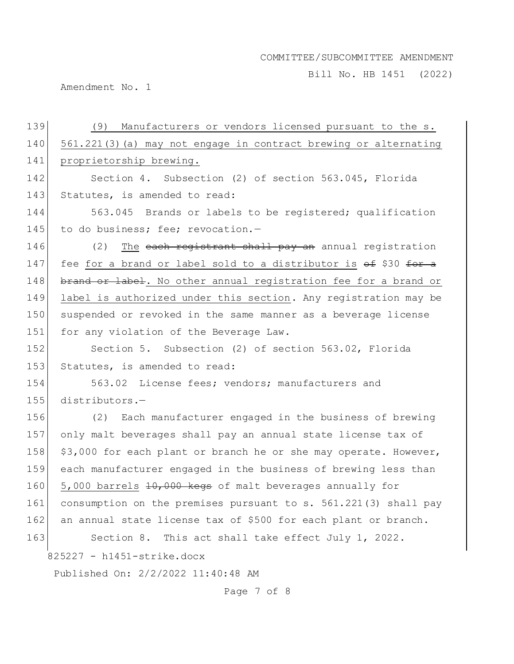Bill No. HB 1451 (2022)

Amendment No. 1

| 139 | Manufacturers or vendors licensed pursuant to the s.<br>(9)      |
|-----|------------------------------------------------------------------|
| 140 | 561.221(3) (a) may not engage in contract brewing or alternating |
| 141 | proprietorship brewing.                                          |
| 142 | Section 4. Subsection (2) of section 563.045, Florida            |
| 143 | Statutes, is amended to read:                                    |
| 144 | 563.045 Brands or labels to be registered; qualification         |
| 145 | to do business; fee; revocation.-                                |
| 146 | (2)<br>The each registrant shall pay an annual registration      |
| 147 | fee for a brand or label sold to a distributor is of \$30 for a  |
| 148 | brand or label. No other annual registration fee for a brand or  |
| 149 | label is authorized under this section. Any registration may be  |
| 150 | suspended or revoked in the same manner as a beverage license    |
| 151 | for any violation of the Beverage Law.                           |
| 152 | Section 5. Subsection (2) of section 563.02, Florida             |
| 153 | Statutes, is amended to read:                                    |
| 154 | 563.02 License fees; vendors; manufacturers and                  |
| 155 | distributors.-                                                   |
| 156 | (2) Each manufacturer engaged in the business of brewing         |
| 157 | only malt beverages shall pay an annual state license tax of     |
| 158 | \$3,000 for each plant or branch he or she may operate. However, |
| 159 | each manufacturer engaged in the business of brewing less than   |
| 160 | 5,000 barrels 10,000 kegs of malt beverages annually for         |
| 161 | consumption on the premises pursuant to s. 561.221(3) shall pay  |
| 162 | an annual state license tax of \$500 for each plant or branch.   |
| 163 | Section 8. This act shall take effect July 1, 2022.              |
|     | 825227 - h1451-strike.docx                                       |
|     | Published On: 2/2/2022 11:40:48 AM                               |

Page 7 of 8